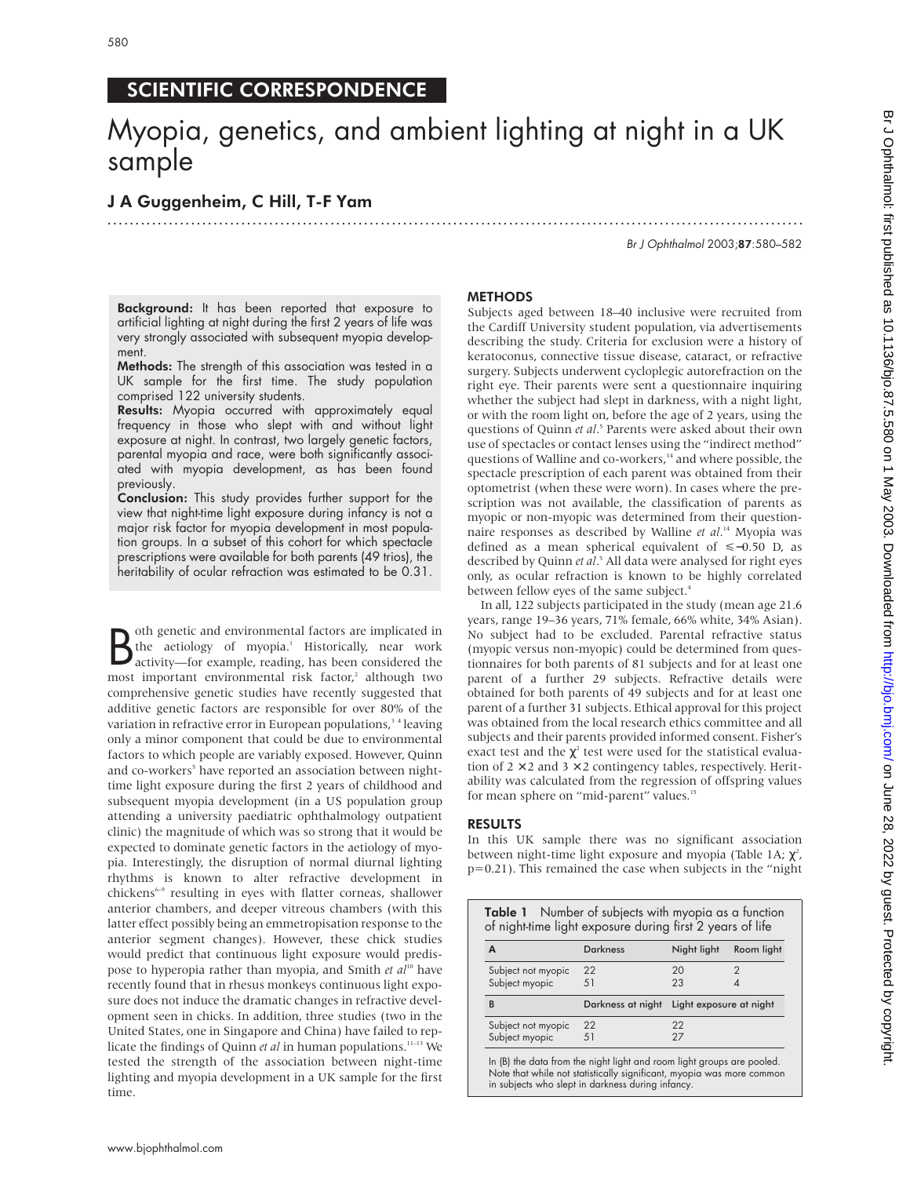# Myopia, genetics, and ambient lighting at night in a UK sample

.............................................................................................................................

## J A Guggenheim, C Hill, T-F Yam

Br J Ophthalmol 2003;87:580–582

Background: It has been reported that exposure to artificial lighting at night during the first 2 years of life was very strongly associated with subsequent myopia development.

Methods: The strength of this association was tested in a UK sample for the first time. The study population comprised 122 university students.

Results: Myopia occurred with approximately equal frequency in those who slept with and without light exposure at night. In contrast, two largely genetic factors, parental myopia and race, were both significantly associated with myopia development, as has been found previously.

Conclusion: This study provides further support for the view that night-time light exposure during infancy is not a major risk factor for myopia development in most population groups. In a subset of this cohort for which spectacle prescriptions were available for both parents (49 trios), the heritability of ocular refraction was estimated to be 0.31.

**B** oth genetic and environmental factors are implicated in the aetiology of myopia.<sup>1</sup> Historically, near work activity—for example, reading, has been considered the most important environmental risk factor,<sup>2</sup> although t oth genetic and environmental factors are implicated in the aetiology of myopia.<sup>1</sup> Historically, near work activity—for example, reading, has been considered the comprehensive genetic studies have recently suggested that additive genetic factors are responsible for over 80% of the variation in refractive error in European populations,<sup>34</sup> leaving only a minor component that could be due to environmental factors to which people are variably exposed. However, Quinn and co-workers<sup>5</sup> have reported an association between nighttime light exposure during the first 2 years of childhood and subsequent myopia development (in a US population group attending a university paediatric ophthalmology outpatient clinic) the magnitude of which was so strong that it would be expected to dominate genetic factors in the aetiology of myopia. Interestingly, the disruption of normal diurnal lighting rhythms is known to alter refractive development in chickens<sup>6-9</sup> resulting in eyes with flatter corneas, shallower anterior chambers, and deeper vitreous chambers (with this latter effect possibly being an emmetropisation response to the anterior segment changes). However, these chick studies would predict that continuous light exposure would predispose to hyperopia rather than myopia, and Smith *et al*<sup>10</sup> have recently found that in rhesus monkeys continuous light exposure does not induce the dramatic changes in refractive development seen in chicks. In addition, three studies (two in the United States, one in Singapore and China) have failed to replicate the findings of Quinn *et al* in human populations.<sup>11-13</sup> We tested the strength of the association between night-time lighting and myopia development in a UK sample for the first time.

### **METHODS**

Subjects aged between 18–40 inclusive were recruited from the Cardiff University student population, via advertisements describing the study. Criteria for exclusion were a history of keratoconus, connective tissue disease, cataract, or refractive surgery. Subjects underwent cycloplegic autorefraction on the right eye. Their parents were sent a questionnaire inquiring whether the subject had slept in darkness, with a night light, or with the room light on, before the age of 2 years, using the questions of Quinn *et al*. <sup>5</sup> Parents were asked about their own use of spectacles or contact lenses using the "indirect method" questions of Walline and co-workers,<sup>14</sup> and where possible, the spectacle prescription of each parent was obtained from their optometrist (when these were worn). In cases where the prescription was not available, the classification of parents as myopic or non-myopic was determined from their questionnaire responses as described by Walline *et al*. <sup>14</sup> Myopia was defined as a mean spherical equivalent of <−0.50 D, as described by Quinn *et al*. <sup>5</sup> All data were analysed for right eyes only, as ocular refraction is known to be highly correlated between fellow eyes of the same subject.<sup>4</sup>

In all, 122 subjects participated in the study (mean age 21.6 years, range 19–36 years, 71% female, 66% white, 34% Asian). No subject had to be excluded. Parental refractive status (myopic versus non-myopic) could be determined from questionnaires for both parents of 81 subjects and for at least one parent of a further 29 subjects. Refractive details were obtained for both parents of 49 subjects and for at least one parent of a further 31 subjects. Ethical approval for this project was obtained from the local research ethics committee and all subjects and their parents provided informed consent. Fisher's exact test and the  $\chi^2$  test were used for the statistical evaluation of  $2 \times 2$  and  $3 \times 2$  contingency tables, respectively. Heritability was calculated from the regression of offspring values for mean sphere on "mid-parent" values.<sup>15</sup>

### RESULTS

In this UK sample there was no significant association between night-time light exposure and myopia (Table 1A;  $\chi^2$ , p=0.21). This remained the case when subjects in the "night

| <b>Darkness</b>   | Night light             | Room light                                                                                                        |
|-------------------|-------------------------|-------------------------------------------------------------------------------------------------------------------|
| 22<br>51          | 20<br>23                |                                                                                                                   |
| Darkness at night | Light exposure at night |                                                                                                                   |
| 22<br>51          | 22<br>27                |                                                                                                                   |
|                   |                         | Table 1 Number of subjects with myopia as a function<br>of night-time light exposure during first 2 years of life |

In (B) the data from the night light and room light groups are pooled. Note that while not statistically significant, myopia was more common in subjects who slept in darkness during infancy.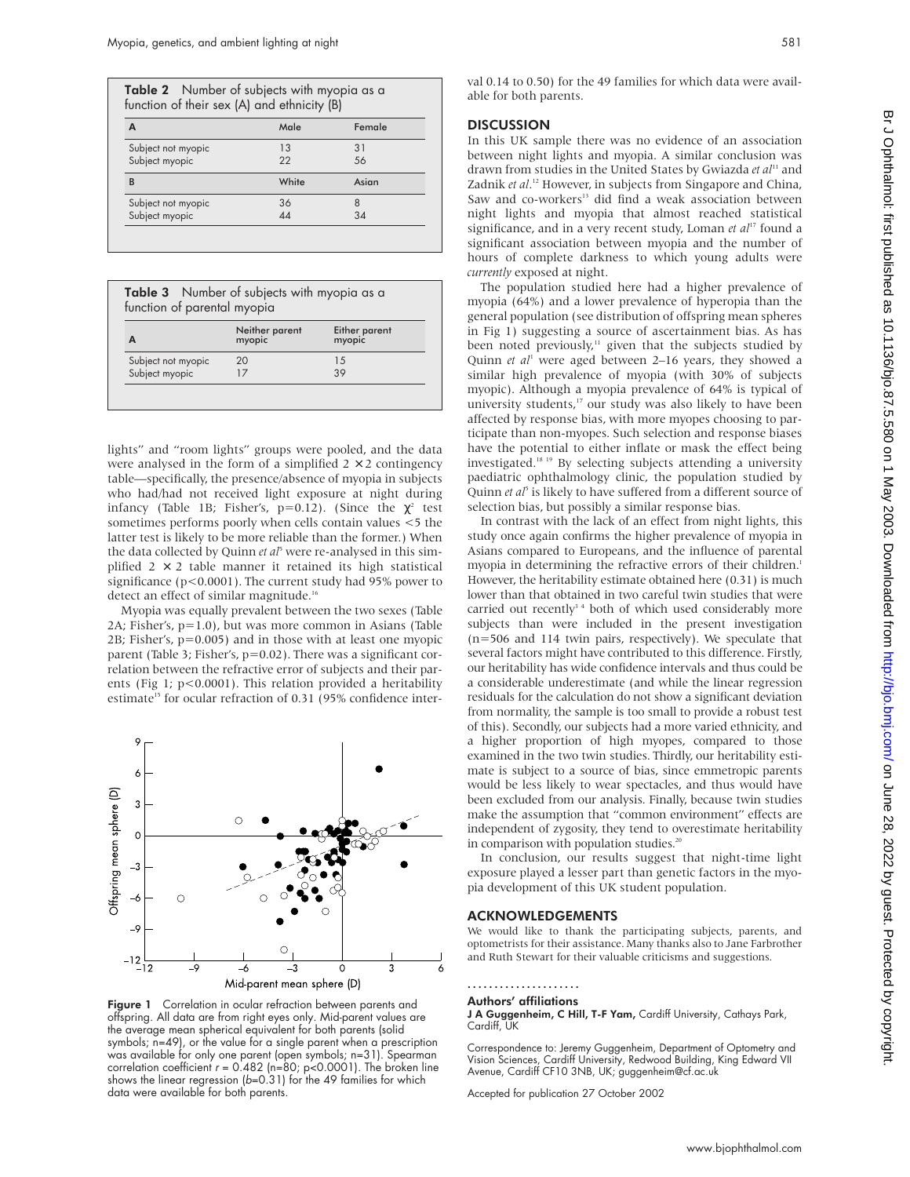| A                  | Male           | Female |
|--------------------|----------------|--------|
| Subject not myopic | 13             | 31     |
| Subject myopic     | 22             | .56    |
| B                  | White          | Asian  |
| Subject not myopic | 36             | 8      |
| Subject myopic     | $\Delta\Delta$ | 34     |

Table 3 Number of subjects with myopia as a function of parental myopia

| А                  | Neither parent<br>myopic | Either parent<br>myopic |
|--------------------|--------------------------|-------------------------|
| Subject not myopic | 20                       | 15                      |
| Subject myopic     |                          | 39                      |

lights" and "room lights" groups were pooled, and the data were analysed in the form of a simplified  $2 \times 2$  contingency table—specifically, the presence/absence of myopia in subjects who had/had not received light exposure at night during infancy (Table 1B; Fisher's, p=0.12). (Since the  $\chi^2$  test sometimes performs poorly when cells contain values <5 the latter test is likely to be more reliable than the former.) When the data collected by Quinn *et al*<sup>5</sup> were re-analysed in this simplified  $2 \times 2$  table manner it retained its high statistical significance (p<0.0001). The current study had 95% power to detect an effect of similar magnitude.<sup>16</sup>

Myopia was equally prevalent between the two sexes (Table 2A; Fisher's, p=1.0), but was more common in Asians (Table 2B; Fisher's, p=0.005) and in those with at least one myopic parent (Table 3; Fisher's, p=0.02). There was a significant correlation between the refractive error of subjects and their parents (Fig 1; p<0.0001). This relation provided a heritability estimate<sup>15</sup> for ocular refraction of 0.31 (95% confidence inter-



Figure 1 Correlation in ocular refraction between parents and offspring. All data are from right eyes only. Mid-parent values are the average mean spherical equivalent for both parents (solid symbols; n=49), or the value for a single parent when a prescription was available for only one parent (open symbols; n=31). Spearman correlation coefficient  $r = 0.482$  (n=80; p<0.0001). The broken line shows the linear regression (b=0.31) for the 49 families for which data were available for both parents.

val 0.14 to 0.50) for the 49 families for which data were available for both parents.

#### **DISCUSSION**

In this UK sample there was no evidence of an association between night lights and myopia. A similar conclusion was drawn from studies in the United States by Gwiazda et al<sup>11</sup> and Zadnik *et al*. <sup>12</sup> However, in subjects from Singapore and China, Saw and co-workers<sup>13</sup> did find a weak association between night lights and myopia that almost reached statistical significance, and in a very recent study, Loman et al<sup>17</sup> found a significant association between myopia and the number of hours of complete darkness to which young adults were *currently* exposed at night.

The population studied here had a higher prevalence of myopia (64%) and a lower prevalence of hyperopia than the general population (see distribution of offspring mean spheres in Fig 1) suggesting a source of ascertainment bias. As has been noted previously,<sup>11</sup> given that the subjects studied by Quinn *et al*<sup>1</sup> were aged between 2–16 years, they showed a similar high prevalence of myopia (with 30% of subjects myopic). Although a myopia prevalence of 64% is typical of university students,<sup>17</sup> our study was also likely to have been affected by response bias, with more myopes choosing to participate than non-myopes. Such selection and response biases have the potential to either inflate or mask the effect being investigated.18 19 By selecting subjects attending a university paediatric ophthalmology clinic, the population studied by Quinn *et al*<sup>5</sup> is likely to have suffered from a different source of selection bias, but possibly a similar response bias.

In contrast with the lack of an effect from night lights, this study once again confirms the higher prevalence of myopia in Asians compared to Europeans, and the influence of parental myopia in determining the refractive errors of their children.<sup>1</sup> However, the heritability estimate obtained here (0.31) is much lower than that obtained in two careful twin studies that were carried out recently<sup>34</sup> both of which used considerably more subjects than were included in the present investigation (n=506 and 114 twin pairs, respectively). We speculate that several factors might have contributed to this difference. Firstly, our heritability has wide confidence intervals and thus could be a considerable underestimate (and while the linear regression residuals for the calculation do not show a significant deviation from normality, the sample is too small to provide a robust test of this). Secondly, our subjects had a more varied ethnicity, and a higher proportion of high myopes, compared to those examined in the two twin studies. Thirdly, our heritability estimate is subject to a source of bias, since emmetropic parents would be less likely to wear spectacles, and thus would have been excluded from our analysis. Finally, because twin studies make the assumption that "common environment" effects are independent of zygosity, they tend to overestimate heritability in comparison with population studies.<sup>20</sup>

In conclusion, our results suggest that night-time light exposure played a lesser part than genetic factors in the myopia development of this UK student population.

#### ACKNOWLEDGEMENTS

We would like to thank the participating subjects, parents, and optometrists for their assistance. Many thanks also to Jane Farbrother and Ruth Stewart for their valuable criticisms and suggestions.

#### ..................... Authors' affiliations

J A Guggenheim, C Hill, T-F Yam, Cardiff University, Cathays Park, Cardiff, UK

Correspondence to: Jeremy Guggenheim, Department of Optometry and Vision Sciences, Cardiff University, Redwood Building, King Edward VII Avenue, Cardiff CF10 3NB, UK; guggenheim@cf.ac.uk

Accepted for publication 27 October 2002